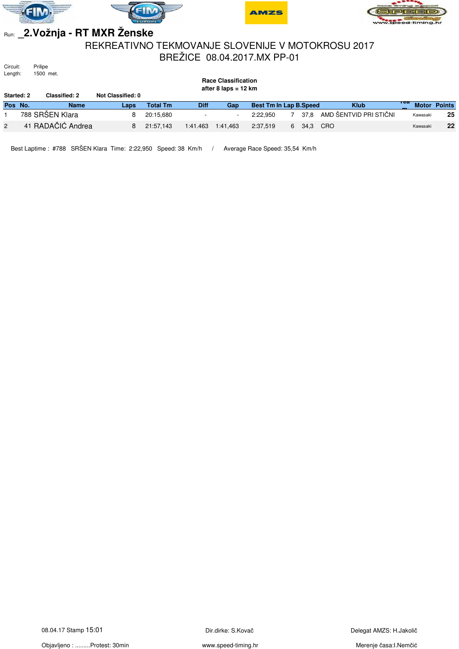







# Run: **\_2.Vožnja - RT MXR Ženske**

#### REKREATIVNO TEKMOVANJE SLOVENIJE V MOTOKROSU 2017 BREŽICE 08.04.2017.MX PP-01

Circuit:<br>Length: Prilipe<br>1500 met.

|                   | __<br>.<br><b>Race Classification</b><br>after 8 laps = $12 \text{ km}$ |                      |                   |           |             |          |                               |  |      |                        |     |          |                     |
|-------------------|-------------------------------------------------------------------------|----------------------|-------------------|-----------|-------------|----------|-------------------------------|--|------|------------------------|-----|----------|---------------------|
| <b>Started: 2</b> |                                                                         | <b>Classified: 2</b> | Not Classified: 0 |           |             |          |                               |  |      |                        |     |          |                     |
| Pos No.           |                                                                         | <b>Name</b>          | Laps              | Total Tm  | <b>Diff</b> | Gap      | <b>Best Tm In Lap B.Speed</b> |  |      | <b>Klub</b>            | теа |          | <b>Motor Points</b> |
|                   |                                                                         | 788 SRŠEN Klara      |                   | 20:15.680 |             | ۰        | 2:22.950                      |  | 37.8 | AMD ŠENTVID PRI STIČNI |     | Kawasaki | 25                  |
|                   |                                                                         | 41 RADAČIĆ Andrea    |                   | 21:57.143 | 1:41.463    | 1:41.463 | 2:37.519                      |  | 34,3 | CRO                    |     | Kawasaki | 22                  |

Best Laptime : #788 SRŠEN Klara Time: 2:22,950 Speed: 38 Km/h / Average Race Speed: 35,54 Km/h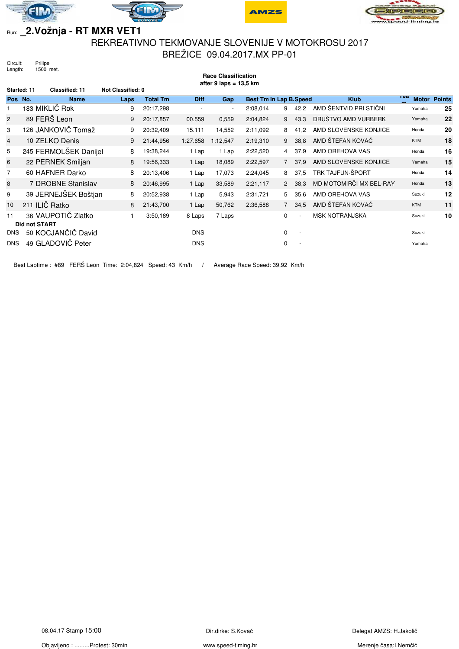







# Run: **\_2.Vožnja - RT MXR VET1**

### REKREATIVNO TEKMOVANJE SLOVENIJE V MOTOKROSU 2017 BREŽICE 09.04.2017.MX PP-01

**Race Classification**

Circuit: Prilipe<br>Length: 1500 1500 met.

| after $9$ laps = 13,5 km |                      |                       |                   |                 |             |          |                               |                |                          |                         |                     |               |
|--------------------------|----------------------|-----------------------|-------------------|-----------------|-------------|----------|-------------------------------|----------------|--------------------------|-------------------------|---------------------|---------------|
| Started: 11              |                      | Classified: 11        | Not Classified: 0 |                 |             |          |                               |                |                          |                         |                     |               |
| Pos No.                  |                      | <b>Name</b>           | Laps              | <b>Total Tm</b> | <b>Diff</b> | Gap      | <b>Best Tm In Lap B.Speed</b> |                |                          | <b>Klub</b>             | тса<br><b>Motor</b> | <b>Points</b> |
|                          |                      | 183 MIKLIČ Rok        | 9                 | 20:17,298       |             |          | 2:08,014                      | 9              | 42,2                     | AMD ŠENTVID PRI STIČNI  | Yamaha              | 25            |
| $\overline{2}$           |                      | 89 FERŠ Leon          | 9                 | 20:17,857       | 00.559      | 0,559    | 2:04,824                      | 9              | 43,3                     | DRUŠTVO AMD VURBERK     | Yamaha              | 22            |
| 3                        |                      | 126 JANKOVIČ Tomaž    | 9                 | 20:32,409       | 15.111      | 14,552   | 2:11,092                      | 8              | 41.2                     | AMD SLOVENSKE KONJICE   | Honda               | 20            |
| $\overline{4}$           |                      | 10 ZELKO Denis        | 9                 | 21:44,956       | 1:27.658    | 1:12,547 | 2:19,310                      | 9              | 38,8                     | AMD ŠTEFAN KOVAČ        | <b>KTM</b>          | 18            |
| 5                        |                      | 245 FERMOLŠEK Danijel | 8                 | 19:38,244       | 1 Lap       | 1 Lap    | 2:22,520                      | $\overline{4}$ | 37,9                     | AMD OREHOVA VAS         | Honda               | 16            |
| 6                        |                      | 22 PERNEK Smiljan     | 8                 | 19:56,333       | 1 Lap       | 18,089   | 2:22,597                      | $7^{\circ}$    | 37,9                     | AMD SLOVENSKE KONJICE   | Yamaha              | 15            |
| $\overline{7}$           |                      | 60 HAFNER Darko       | 8                 | 20:13,406       | 1 Lap       | 17,073   | 2:24,045                      | 8              | 37,5                     | TRK TAJFUN-ŠPORT        | Honda               | 14            |
| 8                        |                      | 7 DROBNE Stanislav    | 8                 | 20:46,995       | 1 Lap       | 33,589   | 2:21,117                      | $2^{\circ}$    | 38,3                     | MD MOTOMIRČI MX BEL-RAY | Honda               | 13            |
| 9                        |                      | 39 JERNEJŠEK Boštjan  | 8                 | 20:52,938       | 1 Lap       | 5,943    | 2:31,721                      | 5              | 35,6                     | AMD OREHOVA VAS         | Suzuki              | 12            |
| 10                       |                      | 211 ILIČ Ratko        | 8                 | 21:43,700       | 1 Lap       | 50,762   | 2:36,588                      | $7^{\circ}$    | 34,5                     | AMD ŠTEFAN KOVAČ        | <b>KTM</b>          | 11            |
| 11                       | <b>Did not START</b> | 36 VAUPOTIČ Zlatko    |                   | 3:50,189        | 8 Laps      | 7 Laps   |                               | $\Omega$       | $\overline{\phantom{a}}$ | <b>MSK NOTRANJSKA</b>   | Suzuki              | 10            |
| <b>DNS</b>               |                      | 50 KOCJANČIČ David    |                   |                 | <b>DNS</b>  |          |                               | $\mathbf 0$    | $\overline{\phantom{a}}$ |                         | Suzuki              |               |
| <b>DNS</b>               |                      | 49 GLADOVIČ Peter     |                   |                 | <b>DNS</b>  |          |                               | 0              |                          |                         | Yamaha              |               |

Best Laptime : #89 FERŠ Leon Time: 2:04,824 Speed: 43 Km/h / Average Race Speed: 39,92 Km/h